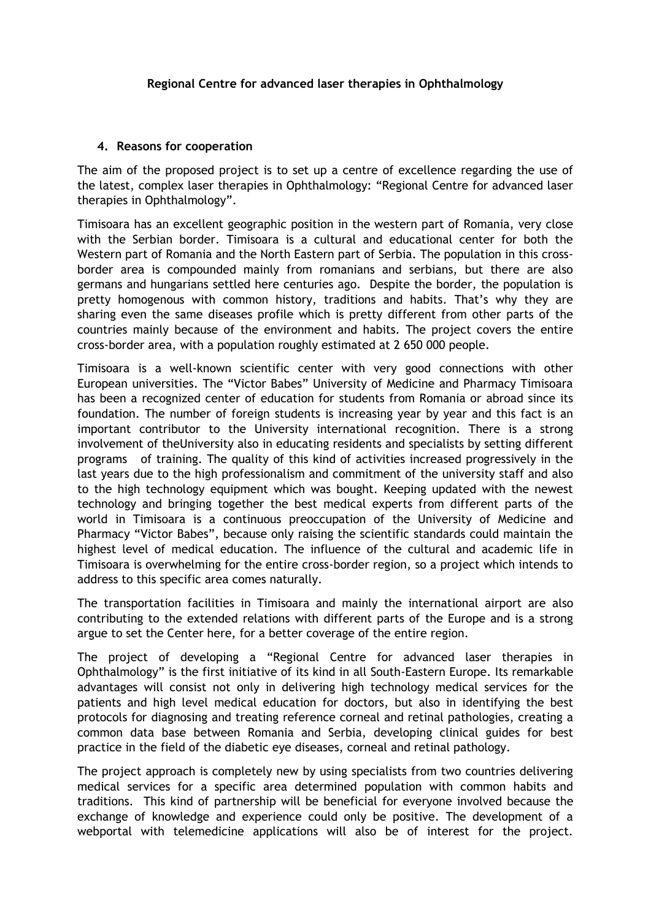## **4. Reasons for cooperation**

The aim of the proposed project is to set up a centre of excellence regarding the use of the latest, complex laser therapies in Ophthalmology: "Regional Centre for advanced laser therapies in Ophthalmology".

Timisoara has an excellent geographic position in the western part of Romania, very close with the Serbian border. Timisoara is a cultural and educational center for both the Western part of Romania and the North Eastern part of Serbia. The population in this crossborder area is compounded mainly from romanians and serbians, but there are also germans and hungarians settled here centuries ago. Despite the border, the population is pretty homogenous with common history, traditions and habits. That's why they are sharing even the same diseases profile which is pretty different from other parts of the countries mainly because of the environment and habits. The project covers the entire cross-border area, with a population roughly estimated at 2 650 000 people.

Timisoara is a well-known scientific center with very good connections with other European universities. The "Victor Babes" University of Medicine and Pharmacy Timisoara has been a recognized center of education for students from Romania or abroad since its foundation. The number of foreign students is increasing year by year and this fact is an important contributor to the University international recognition. There is a strong involvement of theUniversity also in educating residents and specialists by setting different programs of training. The quality of this kind of activities increased progressively in the last years due to the high professionalism and commitment of the university staff and also to the high technology equipment which was bought. Keeping updated with the newest technology and bringing together the best medical experts from different parts of the world in Timisoara is a continuous preoccupation of the University of Medicine and Pharmacy "Victor Babes", because only raising the scientific standards could maintain the highest level of medical education. The influence of the cultural and academic life in Timisoara is overwhelming for the entire cross-border region, so a project which intends to address to this specific area comes naturally.

The transportation facilities in Timisoara and mainly the international airport are also contributing to the extended relations with different parts of the Europe and is a strong argue to set the Center here, for a better coverage of the entire region.

The project of developing a "Regional Centre for advanced laser therapies in Ophthalmology" is the first initiative of its kind in all South-Eastern Europe. Its remarkable advantages will consist not only in delivering high technology medical services for the patients and high level medical education for doctors, but also in identifying the best protocols for diagnosing and treating reference corneal and retinal pathologies, creating a common data base between Romania and Serbia, developing clinical guides for best practice in the field of the diabetic eye diseases, corneal and retinal pathology.

The project approach is completely new by using specialists from two countries delivering medical services for a specific area determined population with common habits and traditions. This kind of partnership will be beneficial for everyone involved because the exchange of knowledge and experience could only be positive. The development of a webportal with telemedicine applications will also be of interest for the project.